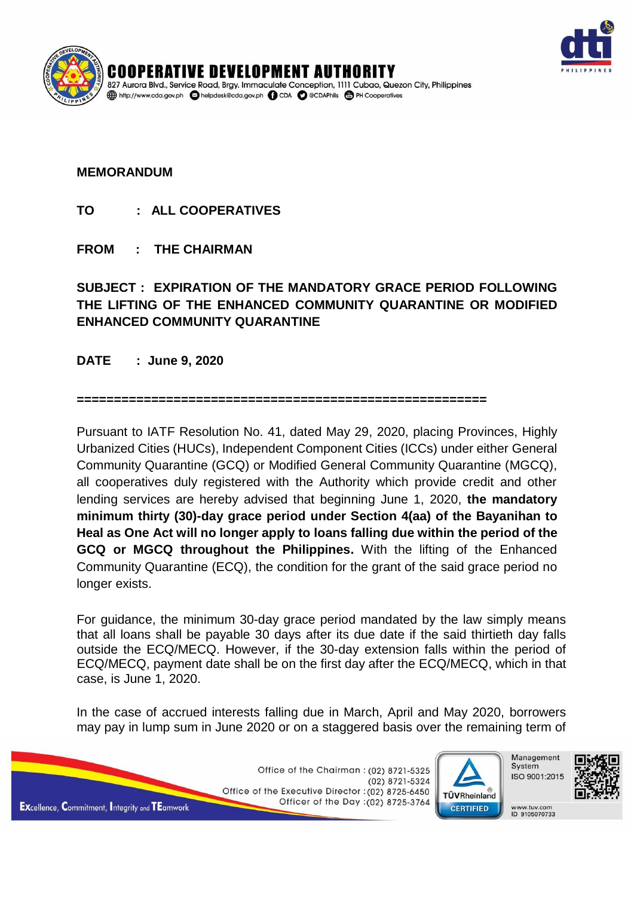



## **MEMORANDUM**

**TO : ALL COOPERATIVES**

**FROM : THE CHAIRMAN**

## **SUBJECT : EXPIRATION OF THE MANDATORY GRACE PERIOD FOLLOWING THE LIFTING OF THE ENHANCED COMMUNITY QUARANTINE OR MODIFIED ENHANCED COMMUNITY QUARANTINE**

**DATE : June 9, 2020**

## **=======================================================**

Pursuant to IATF Resolution No. 41, dated May 29, 2020, placing Provinces, Highly Urbanized Cities (HUCs), Independent Component Cities (ICCs) under either General Community Quarantine (GCQ) or Modified General Community Quarantine (MGCQ), all cooperatives duly registered with the Authority which provide credit and other lending services are hereby advised that beginning June 1, 2020, **the mandatory minimum thirty (30)-day grace period under Section 4(aa) of the Bayanihan to Heal as One Act will no longer apply to loans falling due within the period of the GCQ or MGCQ throughout the Philippines.** With the lifting of the Enhanced Community Quarantine (ECQ), the condition for the grant of the said grace period no longer exists.

For guidance, the minimum 30-day grace period mandated by the law simply means that all loans shall be payable 30 days after its due date if the said thirtieth day falls outside the ECQ/MECQ. However, if the 30-day extension falls within the period of ECQ/MECQ, payment date shall be on the first day after the ECQ/MECQ, which in that case, is June 1, 2020.

In the case of accrued interests falling due in March, April and May 2020, borrowers may pay in lump sum in June 2020 or on a staggered basis over the remaining term of

> Office of the Chairman: (02) 8721-5325 (02) 8721-5324 Office of the Executive Director : (02) 8725-6450 Officer of the Day : (02) 8725-3764